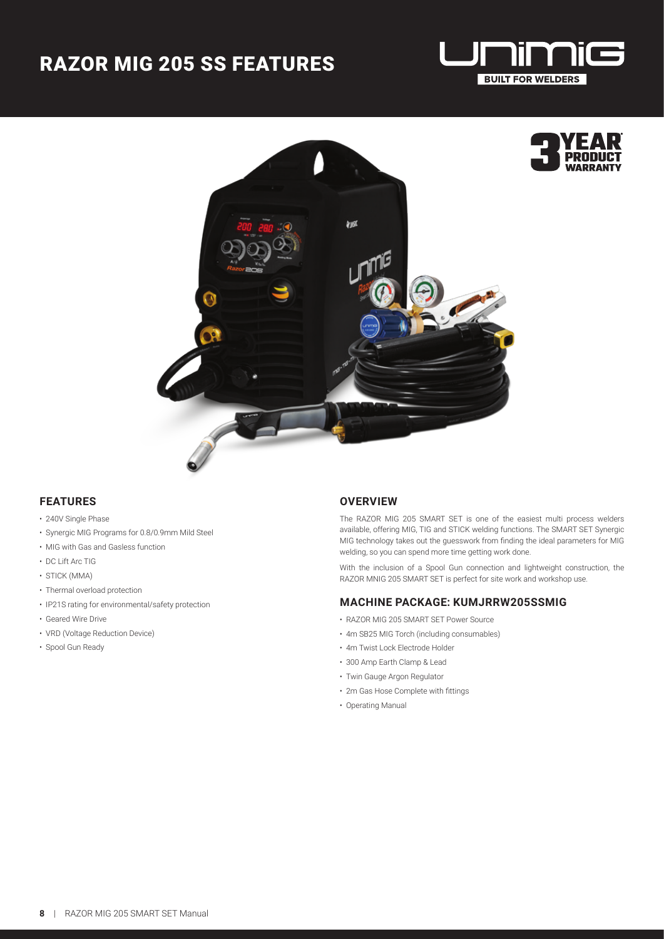## RAZOR MIG 205 SS FEATURES





### **FEATURES**

- 240V Single Phase
- Synergic MIG Programs for 0.8/0.9mm Mild Steel
- MIG with Gas and Gasless function
- DC Lift Arc TIG
- STICK (MMA)
- Thermal overload protection
- IP21S rating for environmental/safety protection
- Geared Wire Drive
- VRD (Voltage Reduction Device)
- Spool Gun Ready

#### **OVERVIEW**

The RAZOR MIG 205 SMART SET is one of the easiest multi process welders available, offering MIG, TIG and STICK welding functions. The SMART SET Synergic MIG technology takes out the guesswork from finding the ideal parameters for MIG welding, so you can spend more time getting work done.

With the inclusion of a Spool Gun connection and lightweight construction, the RAZOR MNIG 205 SMART SET is perfect for site work and workshop use.

#### **MACHINE PACKAGE: KUMJRRW205SSMIG**

- RAZOR MIG 205 SMART SET Power Source
- 4m SB25 MIG Torch (including consumables)
- 4m Twist Lock Electrode Holder
- 300 Amp Earth Clamp & Lead
- Twin Gauge Argon Regulator
- 2m Gas Hose Complete with fittings
- Operating Manual